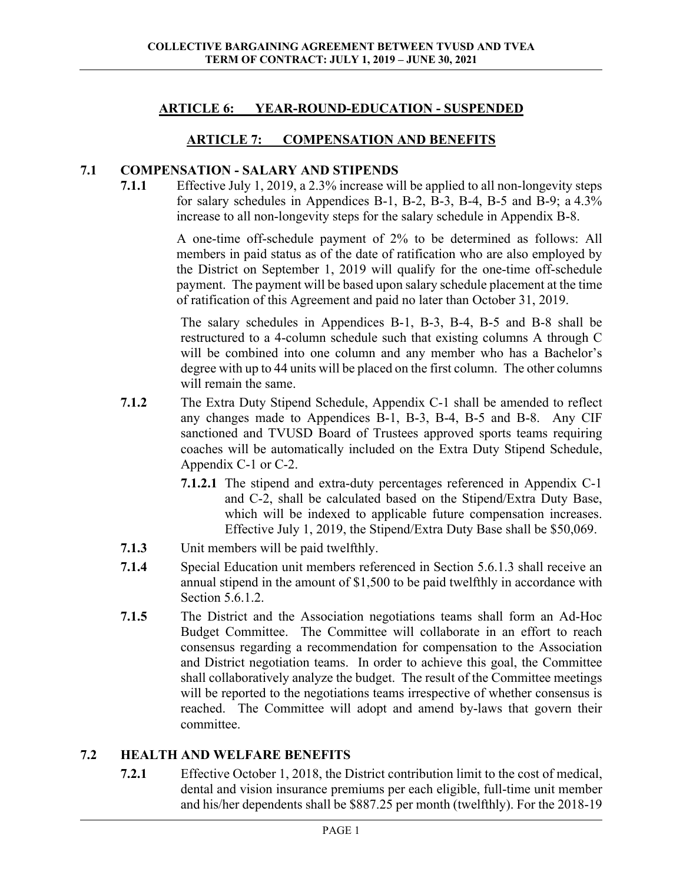# **ARTICLE 6: YEAR-ROUND-EDUCATION - SUSPENDED**

### **ARTICLE 7: COMPENSATION AND BENEFITS**

#### **7.1 COMPENSATION - SALARY AND STIPENDS**

**7.1.1** Effective July 1, 2019, a 2.3% increase will be applied to all non-longevity steps for salary schedules in Appendices B-1, B-2, B-3, B-4, B-5 and B-9; a 4.3% increase to all non-longevity steps for the salary schedule in Appendix B-8.

> A one-time off-schedule payment of 2% to be determined as follows: All members in paid status as of the date of ratification who are also employed by the District on September 1, 2019 will qualify for the one-time off-schedule payment. The payment will be based upon salary schedule placement at the time of ratification of this Agreement and paid no later than October 31, 2019.

> The salary schedules in Appendices B-1, B-3, B-4, B-5 and B-8 shall be restructured to a 4-column schedule such that existing columns A through C will be combined into one column and any member who has a Bachelor's degree with up to 44 units will be placed on the first column. The other columns will remain the same.

- **7.1.2** The Extra Duty Stipend Schedule, Appendix C-1 shall be amended to reflect any changes made to Appendices B-1, B-3, B-4, B-5 and B-8. Any CIF sanctioned and TVUSD Board of Trustees approved sports teams requiring coaches will be automatically included on the Extra Duty Stipend Schedule, Appendix C-1 or C-2.
	- **7.1.2.1** The stipend and extra-duty percentages referenced in Appendix C-1 and C-2, shall be calculated based on the Stipend/Extra Duty Base, which will be indexed to applicable future compensation increases. Effective July 1, 2019, the Stipend/Extra Duty Base shall be \$50,069.
- **7.1.3** Unit members will be paid twelfthly.
- **7.1.4** Special Education unit members referenced in Section 5.6.1.3 shall receive an annual stipend in the amount of \$1,500 to be paid twelfthly in accordance with Section 5.6.1.2.
- **7.1.5** The District and the Association negotiations teams shall form an Ad-Hoc Budget Committee. The Committee will collaborate in an effort to reach consensus regarding a recommendation for compensation to the Association and District negotiation teams. In order to achieve this goal, the Committee shall collaboratively analyze the budget. The result of the Committee meetings will be reported to the negotiations teams irrespective of whether consensus is reached. The Committee will adopt and amend by-laws that govern their committee.

### **7.2 HEALTH AND WELFARE BENEFITS**

**7.2.1** Effective October 1, 2018, the District contribution limit to the cost of medical, dental and vision insurance premiums per each eligible, full-time unit member and his/her dependents shall be \$887.25 per month (twelfthly). For the 2018-19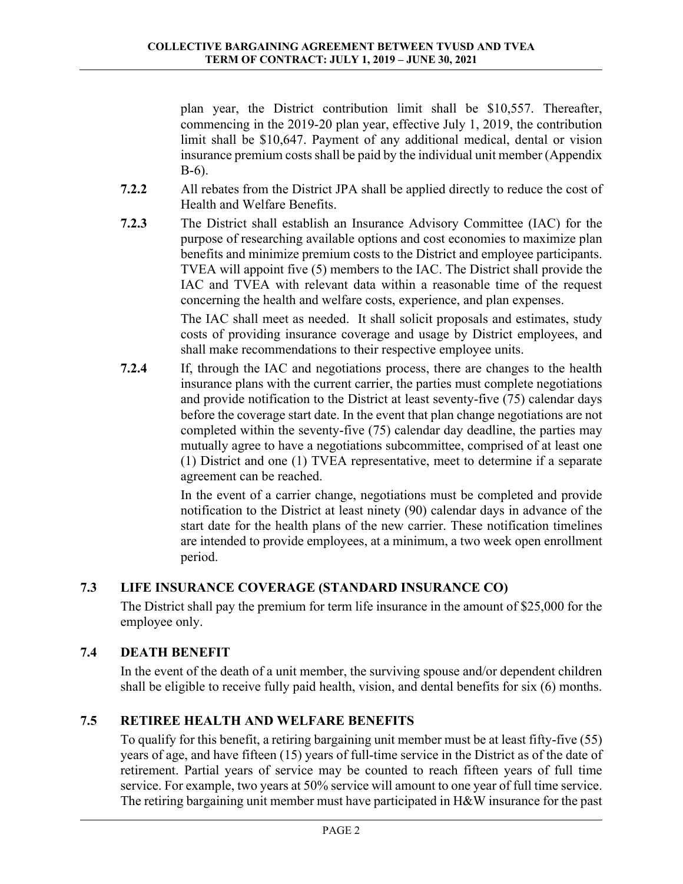plan year, the District contribution limit shall be \$10,557. Thereafter, commencing in the 2019-20 plan year, effective July 1, 2019, the contribution limit shall be \$10,647. Payment of any additional medical, dental or vision insurance premium costs shall be paid by the individual unit member (Appendix B-6).

- **7.2.2** All rebates from the District JPA shall be applied directly to reduce the cost of Health and Welfare Benefits.
- **7.2.3** The District shall establish an Insurance Advisory Committee (IAC) for the purpose of researching available options and cost economies to maximize plan benefits and minimize premium costs to the District and employee participants. TVEA will appoint five (5) members to the IAC. The District shall provide the IAC and TVEA with relevant data within a reasonable time of the request concerning the health and welfare costs, experience, and plan expenses.

 The IAC shall meet as needed. It shall solicit proposals and estimates, study costs of providing insurance coverage and usage by District employees, and shall make recommendations to their respective employee units.

**7.2.4** If, through the IAC and negotiations process, there are changes to the health insurance plans with the current carrier, the parties must complete negotiations and provide notification to the District at least seventy-five (75) calendar days before the coverage start date. In the event that plan change negotiations are not completed within the seventy-five (75) calendar day deadline, the parties may mutually agree to have a negotiations subcommittee, comprised of at least one (1) District and one (1) TVEA representative, meet to determine if a separate agreement can be reached.

> In the event of a carrier change, negotiations must be completed and provide notification to the District at least ninety (90) calendar days in advance of the start date for the health plans of the new carrier. These notification timelines are intended to provide employees, at a minimum, a two week open enrollment period.

# **7.3 LIFE INSURANCE COVERAGE (STANDARD INSURANCE CO)**

The District shall pay the premium for term life insurance in the amount of \$25,000 for the employee only.

# **7.4 DEATH BENEFIT**

In the event of the death of a unit member, the surviving spouse and/or dependent children shall be eligible to receive fully paid health, vision, and dental benefits for six (6) months.

# **7.5 RETIREE HEALTH AND WELFARE BENEFITS**

To qualify for this benefit, a retiring bargaining unit member must be at least fifty-five (55) years of age, and have fifteen (15) years of full-time service in the District as of the date of retirement. Partial years of service may be counted to reach fifteen years of full time service. For example, two years at 50% service will amount to one year of full time service. The retiring bargaining unit member must have participated in H&W insurance for the past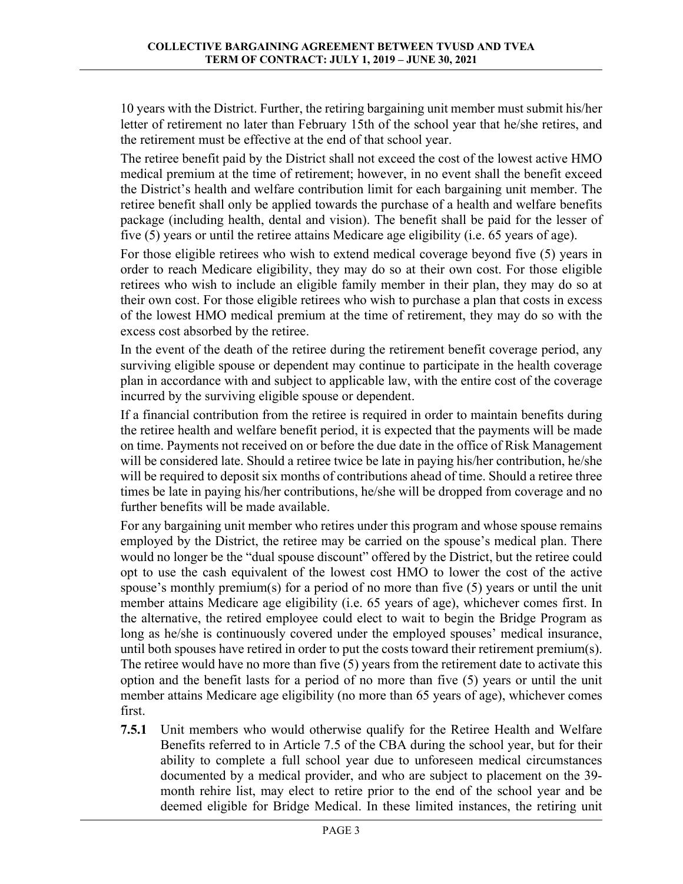10 years with the District. Further, the retiring bargaining unit member must submit his/her letter of retirement no later than February 15th of the school year that he/she retires, and the retirement must be effective at the end of that school year.

The retiree benefit paid by the District shall not exceed the cost of the lowest active HMO medical premium at the time of retirement; however, in no event shall the benefit exceed the District's health and welfare contribution limit for each bargaining unit member. The retiree benefit shall only be applied towards the purchase of a health and welfare benefits package (including health, dental and vision). The benefit shall be paid for the lesser of five (5) years or until the retiree attains Medicare age eligibility (i.e. 65 years of age).

For those eligible retirees who wish to extend medical coverage beyond five (5) years in order to reach Medicare eligibility, they may do so at their own cost. For those eligible retirees who wish to include an eligible family member in their plan, they may do so at their own cost. For those eligible retirees who wish to purchase a plan that costs in excess of the lowest HMO medical premium at the time of retirement, they may do so with the excess cost absorbed by the retiree.

In the event of the death of the retiree during the retirement benefit coverage period, any surviving eligible spouse or dependent may continue to participate in the health coverage plan in accordance with and subject to applicable law, with the entire cost of the coverage incurred by the surviving eligible spouse or dependent.

If a financial contribution from the retiree is required in order to maintain benefits during the retiree health and welfare benefit period, it is expected that the payments will be made on time. Payments not received on or before the due date in the office of Risk Management will be considered late. Should a retiree twice be late in paying his/her contribution, he/she will be required to deposit six months of contributions ahead of time. Should a retiree three times be late in paying his/her contributions, he/she will be dropped from coverage and no further benefits will be made available.

For any bargaining unit member who retires under this program and whose spouse remains employed by the District, the retiree may be carried on the spouse's medical plan. There would no longer be the "dual spouse discount" offered by the District, but the retiree could opt to use the cash equivalent of the lowest cost HMO to lower the cost of the active spouse's monthly premium(s) for a period of no more than five (5) years or until the unit member attains Medicare age eligibility (i.e. 65 years of age), whichever comes first. In the alternative, the retired employee could elect to wait to begin the Bridge Program as long as he/she is continuously covered under the employed spouses' medical insurance, until both spouses have retired in order to put the costs toward their retirement premium(s). The retiree would have no more than five (5) years from the retirement date to activate this option and the benefit lasts for a period of no more than five (5) years or until the unit member attains Medicare age eligibility (no more than 65 years of age), whichever comes first.

**7.5.1** Unit members who would otherwise qualify for the Retiree Health and Welfare Benefits referred to in Article 7.5 of the CBA during the school year, but for their ability to complete a full school year due to unforeseen medical circumstances documented by a medical provider, and who are subject to placement on the 39 month rehire list, may elect to retire prior to the end of the school year and be deemed eligible for Bridge Medical. In these limited instances, the retiring unit